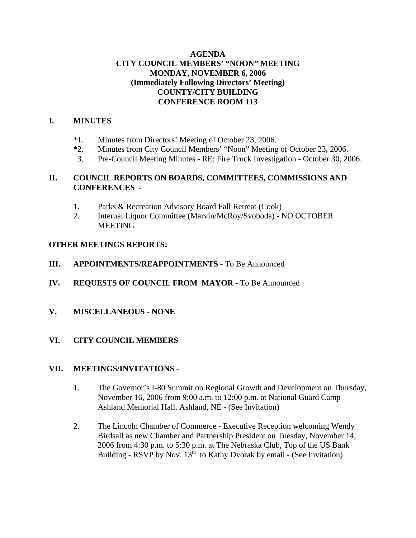## **AGENDA CITY COUNCIL MEMBERS' "NOON" MEETING MONDAY, NOVEMBER 6, 2006 (Immediately Following Directors' Meeting) COUNTY/CITY BUILDING CONFERENCE ROOM 113**

# **I. MINUTES**

- \*1. Minutes from Directors' Meeting of October 23, 2006.
- **\***2. Minutes from City Council Members' "Noon" Meeting of October 23, 2006.
- 3. Pre-Council Meeting Minutes RE: Fire Truck Investigation October 30, 2006.

## **II. COUNCIL REPORTS ON BOARDS, COMMITTEES, COMMISSIONS AND CONFERENCES -**

- 1. Parks & Recreation Advisory Board Fall Retreat (Cook)
- 2. Internal Liquor Committee (Marvin/McRoy/Svoboda) NO OCTOBER **MEETING**

## **OTHER MEETINGS REPORTS:**

- **III.** APPOINTMENTS/REAPPOINTMENTS To Be Announced
- **IV. REQUESTS OF COUNCIL FROM MAYOR -** To Be Announced
- **V. MISCELLANEOUS NONE**
- **VI. CITY COUNCIL MEMBERS**

### **VII. MEETINGS/INVITATIONS** -

- 1. The Governor's I-80 Summit on Regional Growth and Development on Thursday, November 16, 2006 from 9:00 a.m. to 12:00 p.m. at National Guard Camp Ashland Memorial Hall, Ashland, NE - (See Invitation)
- 2. The Lincoln Chamber of Commerce Executive Reception welcoming Wendy Birdsall as new Chamber and Partnership President on Tuesday, November 14, 2006 from 4:30 p.m. to 5:30 p.m. at The Nebraska Club, Top of the US Bank Building - RSVP by Nov.  $13^{th}$  to Kathy Dvorak by email - (See Invitation)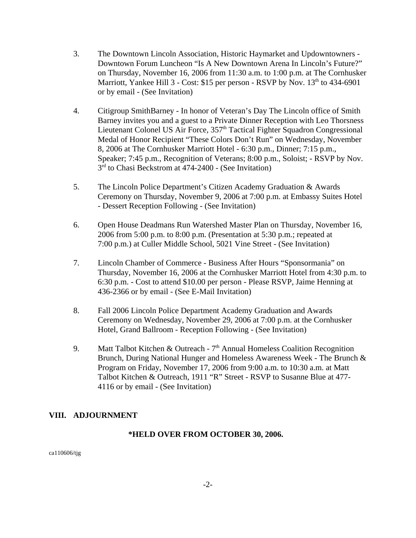- 3. The Downtown Lincoln Association, Historic Haymarket and Updowntowners Downtown Forum Luncheon "Is A New Downtown Arena In Lincoln's Future?" on Thursday, November 16, 2006 from 11:30 a.m. to 1:00 p.m. at The Cornhusker Marriott, Yankee Hill  $3$  - Cost: \$15 per person - RSVP by Nov.  $13<sup>th</sup>$  to 434-6901 or by email - (See Invitation)
- 4. Citigroup SmithBarney In honor of Veteran's Day The Lincoln office of Smith Barney invites you and a guest to a Private Dinner Reception with Leo Thorsness Lieutenant Colonel US Air Force, 357<sup>th</sup> Tactical Fighter Squadron Congressional Medal of Honor Recipient "These Colors Don't Run" on Wednesday, November 8, 2006 at The Cornhusker Marriott Hotel - 6:30 p.m., Dinner; 7:15 p.m., Speaker; 7:45 p.m., Recognition of Veterans; 8:00 p.m., Soloist; - RSVP by Nov.  $3<sup>rd</sup>$  to Chasi Beckstrom at 474-2400 - (See Invitation)
- 5. The Lincoln Police Department's Citizen Academy Graduation & Awards Ceremony on Thursday, November 9, 2006 at 7:00 p.m. at Embassy Suites Hotel - Dessert Reception Following - (See Invitation)
- 6. Open House Deadmans Run Watershed Master Plan on Thursday, November 16, 2006 from 5:00 p.m. to 8:00 p.m. (Presentation at 5:30 p.m.; repeated at 7:00 p.m.) at Culler Middle School, 5021 Vine Street - (See Invitation)
- 7. Lincoln Chamber of Commerce Business After Hours "Sponsormania" on Thursday, November 16, 2006 at the Cornhusker Marriott Hotel from 4:30 p.m. to 6:30 p.m. - Cost to attend \$10.00 per person - Please RSVP, Jaime Henning at 436-2366 or by email - (See E-Mail Invitation)
- 8. Fall 2006 Lincoln Police Department Academy Graduation and Awards Ceremony on Wednesday, November 29, 2006 at 7:00 p.m. at the Cornhusker Hotel, Grand Ballroom - Reception Following - (See Invitation)
- 9. Matt Talbot Kitchen & Outreach  $7<sup>th</sup>$  Annual Homeless Coalition Recognition Brunch, During National Hunger and Homeless Awareness Week - The Brunch & Program on Friday, November 17, 2006 from 9:00 a.m. to 10:30 a.m. at Matt Talbot Kitchen & Outreach, 1911 "R" Street - RSVP to Susanne Blue at 477- 4116 or by email - (See Invitation)

## **VIII. ADJOURNMENT**

### **\*HELD OVER FROM OCTOBER 30, 2006.**

ca110606/tjg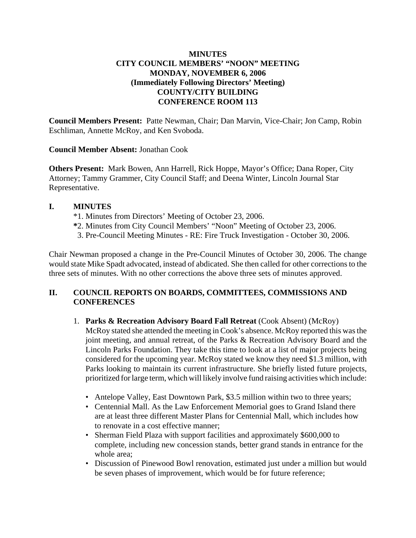# **MINUTES CITY COUNCIL MEMBERS' "NOON" MEETING MONDAY, NOVEMBER 6, 2006 (Immediately Following Directors' Meeting) COUNTY/CITY BUILDING CONFERENCE ROOM 113**

**Council Members Present:** Patte Newman, Chair; Dan Marvin, Vice-Chair; Jon Camp, Robin Eschliman, Annette McRoy, and Ken Svoboda.

**Council Member Absent:** Jonathan Cook

**Others Present:** Mark Bowen, Ann Harrell, Rick Hoppe, Mayor's Office; Dana Roper, City Attorney; Tammy Grammer, City Council Staff; and Deena Winter, Lincoln Journal Star Representative.

## **I. MINUTES**

- \*1. Minutes from Directors' Meeting of October 23, 2006.
- **\***2. Minutes from City Council Members' "Noon" Meeting of October 23, 2006.
- 3. Pre-Council Meeting Minutes RE: Fire Truck Investigation October 30, 2006.

Chair Newman proposed a change in the Pre-Council Minutes of October 30, 2006. The change would state Mike Spadt advocated, instead of abdicated. She then called for other corrections to the three sets of minutes. With no other corrections the above three sets of minutes approved.

# **II. COUNCIL REPORTS ON BOARDS, COMMITTEES, COMMISSIONS AND CONFERENCES**

1. **Parks & Recreation Advisory Board Fall Retreat** (Cook Absent) (McRoy)

McRoy stated she attended the meeting in Cook's absence. McRoy reported this was the joint meeting, and annual retreat, of the Parks & Recreation Advisory Board and the Lincoln Parks Foundation. They take this time to look at a list of major projects being considered for the upcoming year. McRoy stated we know they need \$1.3 million, with Parks looking to maintain its current infrastructure. She briefly listed future projects, prioritized for large term, which will likely involve fund raising activities which include:

- Antelope Valley, East Downtown Park, \$3.5 million within two to three years;
- Centennial Mall. As the Law Enforcement Memorial goes to Grand Island there are at least three different Master Plans for Centennial Mall, which includes how to renovate in a cost effective manner;
- Sherman Field Plaza with support facilities and approximately \$600,000 to complete, including new concession stands, better grand stands in entrance for the whole area;
- Discussion of Pinewood Bowl renovation, estimated just under a million but would be seven phases of improvement, which would be for future reference;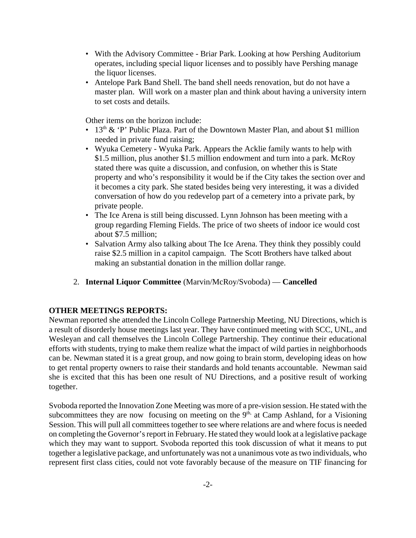- With the Advisory Committee Briar Park. Looking at how Pershing Auditorium operates, including special liquor licenses and to possibly have Pershing manage the liquor licenses.
- Antelope Park Band Shell. The band shell needs renovation, but do not have a master plan. Will work on a master plan and think about having a university intern to set costs and details.

Other items on the horizon include:

- 13<sup>th</sup> & 'P' Public Plaza. Part of the Downtown Master Plan, and about \$1 million needed in private fund raising;
- Wyuka Cemetery Wyuka Park. Appears the Acklie family wants to help with \$1.5 million, plus another \$1.5 million endowment and turn into a park. McRoy stated there was quite a discussion, and confusion, on whether this is State property and who's responsibility it would be if the City takes the section over and it becomes a city park. She stated besides being very interesting, it was a divided conversation of how do you redevelop part of a cemetery into a private park, by private people.
- The Ice Arena is still being discussed. Lynn Johnson has been meeting with a group regarding Fleming Fields. The price of two sheets of indoor ice would cost about \$7.5 million;
- Salvation Army also talking about The Ice Arena. They think they possibly could raise \$2.5 million in a capitol campaign. The Scott Brothers have talked about making an substantial donation in the million dollar range.
- 2. **Internal Liquor Committee** (Marvin/McRoy/Svoboda) **Cancelled**

### **OTHER MEETINGS REPORTS:**

Newman reported she attended the Lincoln College Partnership Meeting, NU Directions, which is a result of disorderly house meetings last year. They have continued meeting with SCC, UNL, and Wesleyan and call themselves the Lincoln College Partnership. They continue their educational efforts with students, trying to make them realize what the impact of wild parties in neighborhoods can be. Newman stated it is a great group, and now going to brain storm, developing ideas on how to get rental property owners to raise their standards and hold tenants accountable. Newman said she is excited that this has been one result of NU Directions, and a positive result of working together.

Svoboda reported the Innovation Zone Meeting was more of a pre-vision session. He stated with the subcommittees they are now focusing on meeting on the  $9<sup>th</sup>$ , at Camp Ashland, for a Visioning Session. This will pull all committees together to see where relations are and where focus is needed on completing the Governor's report in February. He stated they would look at a legislative package which they may want to support. Svoboda reported this took discussion of what it means to put together a legislative package, and unfortunately was not a unanimous vote as two individuals, who represent first class cities, could not vote favorably because of the measure on TIF financing for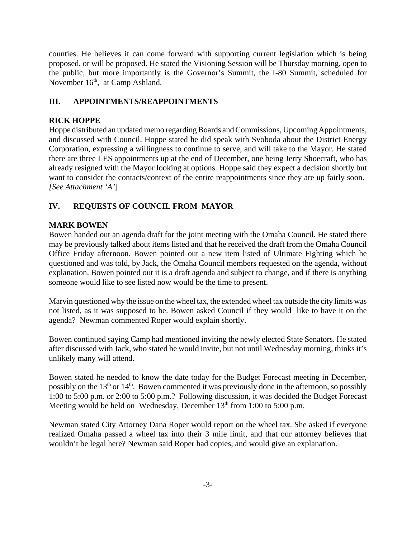counties. He believes it can come forward with supporting current legislation which is being proposed, or will be proposed. He stated the Visioning Session will be Thursday morning, open to the public, but more importantly is the Governor's Summit, the I-80 Summit, scheduled for November 16<sup>th</sup>, at Camp Ashland.

# **III. APPOINTMENTS/REAPPOINTMENTS**

# **RICK HOPPE**

Hoppe distributed an updated memo regarding Boards and Commissions, Upcoming Appointments, and discussed with Council. Hoppe stated he did speak with Svoboda about the District Energy Corporation, expressing a willingness to continue to serve, and will take to the Mayor. He stated there are three LES appointments up at the end of December, one being Jerry Shoecraft, who has already resigned with the Mayor looking at options. Hoppe said they expect a decision shortly but want to consider the contacts/context of the entire reappointments since they are up fairly soon. *[See Attachment 'A'*]

# **IV. REQUESTS OF COUNCIL FROM MAYOR**

# **MARK BOWEN**

Bowen handed out an agenda draft for the joint meeting with the Omaha Council. He stated there may be previously talked about items listed and that he received the draft from the Omaha Council Office Friday afternoon. Bowen pointed out a new item listed of Ultimate Fighting which he questioned and was told, by Jack, the Omaha Council members requested on the agenda, without explanation. Bowen pointed out it is a draft agenda and subject to change, and if there is anything someone would like to see listed now would be the time to present.

Marvin questioned why the issue on the wheel tax, the extended wheel tax outside the city limits was not listed, as it was supposed to be. Bowen asked Council if they would like to have it on the agenda? Newman commented Roper would explain shortly.

Bowen continued saying Camp had mentioned inviting the newly elected State Senators. He stated after discussed with Jack, who stated he would invite, but not until Wednesday morning, thinks it's unlikely many will attend.

Bowen stated he needed to know the date today for the Budget Forecast meeting in December, possibly on the  $13<sup>th</sup>$  or  $14<sup>th</sup>$ . Bowen commented it was previously done in the afternoon, so possibly 1:00 to 5:00 p.m. or 2:00 to 5:00 p.m.? Following discussion, it was decided the Budget Forecast Meeting would be held on Wednesday, December  $13<sup>th</sup>$  from 1:00 to 5:00 p.m.

Newman stated City Attorney Dana Roper would report on the wheel tax. She asked if everyone realized Omaha passed a wheel tax into their 3 mile limit, and that our attorney believes that wouldn't be legal here? Newman said Roper had copies, and would give an explanation.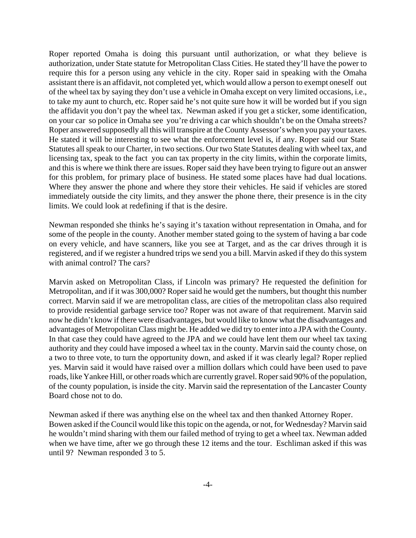Roper reported Omaha is doing this pursuant until authorization, or what they believe is authorization, under State statute for Metropolitan Class Cities. He stated they'll have the power to require this for a person using any vehicle in the city. Roper said in speaking with the Omaha assistant there is an affidavit, not completed yet, which would allow a person to exempt oneself out of the wheel tax by saying they don't use a vehicle in Omaha except on very limited occasions, i.e., to take my aunt to church, etc. Roper said he's not quite sure how it will be worded but if you sign the affidavit you don't pay the wheel tax. Newman asked if you get a sticker, some identification, on your car so police in Omaha see you're driving a car which shouldn't be on the Omaha streets? Roper answered supposedly all this will transpire at the County Assessor's when you pay your taxes. He stated it will be interesting to see what the enforcement level is, if any. Roper said our State Statutes all speak to our Charter, in two sections. Our two State Statutes dealing with wheel tax, and licensing tax, speak to the fact you can tax property in the city limits, within the corporate limits, and this is where we think there are issues. Roper said they have been trying to figure out an answer for this problem, for primary place of business. He stated some places have had dual locations. Where they answer the phone and where they store their vehicles. He said if vehicles are stored immediately outside the city limits, and they answer the phone there, their presence is in the city limits. We could look at redefining if that is the desire.

Newman responded she thinks he's saying it's taxation without representation in Omaha, and for some of the people in the county. Another member stated going to the system of having a bar code on every vehicle, and have scanners, like you see at Target, and as the car drives through it is registered, and if we register a hundred trips we send you a bill. Marvin asked if they do this system with animal control? The cars?

Marvin asked on Metropolitan Class, if Lincoln was primary? He requested the definition for Metropolitan, and if it was 300,000? Roper said he would get the numbers, but thought this number correct. Marvin said if we are metropolitan class, are cities of the metropolitan class also required to provide residential garbage service too? Roper was not aware of that requirement. Marvin said now he didn't know if there were disadvantages, but would like to know what the disadvantages and advantages of Metropolitan Class might be. He added we did try to enter into a JPA with the County. In that case they could have agreed to the JPA and we could have lent them our wheel tax taxing authority and they could have imposed a wheel tax in the county. Marvin said the county chose, on a two to three vote, to turn the opportunity down, and asked if it was clearly legal? Roper replied yes. Marvin said it would have raised over a million dollars which could have been used to pave roads, like Yankee Hill, or other roads which are currently gravel. Roper said 90% of the population, of the county population, is inside the city. Marvin said the representation of the Lancaster County Board chose not to do.

Newman asked if there was anything else on the wheel tax and then thanked Attorney Roper. Bowen asked if the Council would like this topic on the agenda, or not, for Wednesday? Marvin said he wouldn't mind sharing with them our failed method of trying to get a wheel tax. Newman added when we have time, after we go through these 12 items and the tour. Eschliman asked if this was until 9? Newman responded 3 to 5.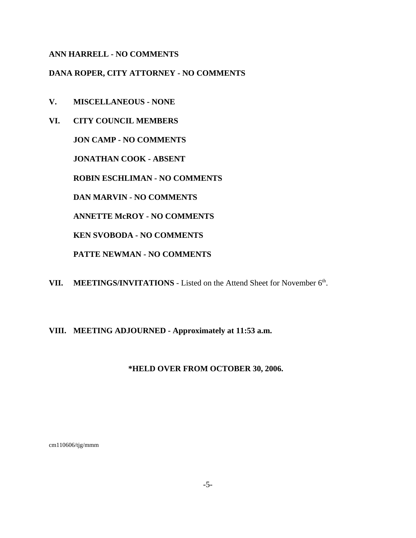## **ANN HARRELL - NO COMMENTS**

## **DANA ROPER, CITY ATTORNEY - NO COMMENTS**

- **V. MISCELLANEOUS NONE**
- **VI. CITY COUNCIL MEMBERS**

**JON CAMP - NO COMMENTS** 

**JONATHAN COOK - ABSENT**

**ROBIN ESCHLIMAN - NO COMMENTS**

**DAN MARVIN - NO COMMENTS**

**ANNETTE McROY - NO COMMENTS**

**KEN SVOBODA - NO COMMENTS**

**PATTE NEWMAN - NO COMMENTS**

VII. MEETINGS/INVITATIONS - Listed on the Attend Sheet for November 6<sup>th</sup>.

## **VIII. MEETING ADJOURNED - Approximately at 11:53 a.m.**

### **\*HELD OVER FROM OCTOBER 30, 2006.**

cm110606/tjg/mmm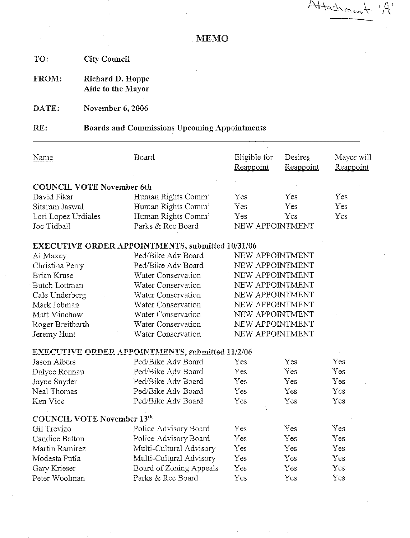Attachment

**MEMO** 

TO: **City Council** 

Richard D. Hoppe FROM: Aide to the Mayor

DATE: November 6, 2006

#### RE: **Boards and Commissions Upcoming Appointments**

| Name                             | <u>Board</u>                                            | Eligible for<br>Reappoint | Desires<br><u>Reappoint</u> | Mayor will<br>Reappoint |
|----------------------------------|---------------------------------------------------------|---------------------------|-----------------------------|-------------------------|
| <b>COUNCIL VOTE November 6th</b> |                                                         |                           |                             |                         |
| David Fikar                      | Human Rights Comm'                                      | Yes                       | Yes                         | Yes.                    |
| Sitaram Jaswal                   | Human Rights Comm'                                      | Yes:                      | Yes                         | Yes                     |
| Lori Lopez Urdiales              | Human Rights Comm'                                      | Yes                       | Yes                         | Yes                     |
| Joe Tidball                      | Parks & Rec Board                                       | NEW APPOINTMENT           |                             |                         |
|                                  | <b>EXECUTIVE ORDER APPOINTMENTS, submitted 10/31/06</b> |                           |                             |                         |
| Al Maxey                         | Ped/Bike Adv Board                                      | NEW APPOINTMENT           |                             |                         |
| Christina Perry                  | Ped/Bike Adv Board                                      | NEW APPOINTMENT           |                             |                         |
| Brian Kruse                      | Water Conservation                                      | NEW APPOINTMENT           |                             |                         |
| <b>Butch Lottman</b>             | Water Conservation                                      | NEW APPOINTMENT           |                             |                         |
| Cale Underberg                   | Water Conservation                                      | NEW APPOINTMENT           |                             |                         |
| Mark Jobman                      | Water Conservation                                      | NEW APPOINTMENT           |                             |                         |
| Matt Minchow                     | Water Conservation                                      | NEW APPOINTMENT           |                             |                         |
| Roger Breitbarth                 | Water Conservation                                      | NEW APPOINTMENT           |                             |                         |
| Jeremy Hunt                      | Water Conservation                                      | NEW APPOINTMENT           |                             |                         |

# **EXECUTIVE ORDER APPOINTMENTS, submitted 11/2/06**

| Jason Albers                      | Ped/Bike Adv Board      | Yes                  | Yes  | Yes        |
|-----------------------------------|-------------------------|----------------------|------|------------|
| Dalyce Ronnau                     | Ped/Bike Adv Board      | Yes                  | Yes. | Yes        |
| Jayne Snyder                      | Ped/Bike Adv Board      | Yes                  | Yes  | Yes        |
| Neal Thomas                       | Ped/Bike Adv Board      | Yes                  | Yes  | Yes        |
| Ken Vice                          | Ped/Bike Adv Board      | $\operatorname{Yes}$ | Yes  | Yes        |
| <b>COUNCIL VOTE November 13th</b> |                         |                      |      |            |
| Gil Trevizo                       | Police Advisory Board   | $\operatorname{Yes}$ | Yes  | Yes        |
| Candice Batton                    | Police Advisory Board   | Yes                  | Yes  | Yes        |
| Martin Ramirez                    | Multi-Cultural Advisory | Yes.                 | Yes  | <b>Yes</b> |
| Modesta Putla                     | Multi-Cultural Advisory | Yes                  | Yes. | Yes        |
| Gary Krieser                      | Board of Zoning Appeals | $\operatorname{Yes}$ | Yes  | <b>Yes</b> |
| Peter Woolman                     | Parks & Rec Board       | Yes                  | Yes  | Yes        |